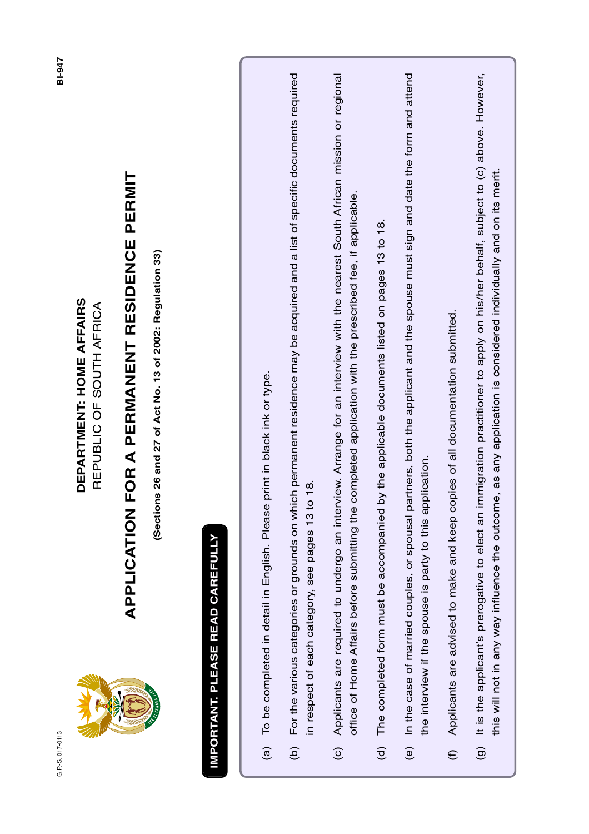G.P.-S. 017-0113 G.P.-S. 017-0113



#### DEPARTMENT: HOME AFFAIRS **DEPARTMENT: HOME AFFAIRS** REPUBLIC OF SOUTH AFRICA REPUBLIC OF SOUTH AFRICA

#### **APPLICATION FOR A PERMANENT RESIDENCE PERMIT APPLICATION FOR A PERMANENT RESIDENCE PERMIT**

(Sections 26 and 27 of Act No. 13 of 2002: Regulation 33) **(Sections 26 and 27 of Act No. 13 of 2002: Regulation 33)**

#### **IMPORTANT. PLEASE READ CAREFULLY IMPORTANT. PLEASE READ CAREFULLY**

- To be completed in detail in English. Please print in black ink or type. (a) To be completed in detail in English. Please print in black ink or type.  $\widehat{a}$
- For the various categories or grounds on which permanent residence may be acquired and a list of specific documents required (b) For the various categories or grounds on which permanent residence may be acquired and a list of specific documents required in respect of each category, see pages 13 to 18. in respect of each category, see pages 13 to 18.  $\ddot{\text{c}}$
- Applicants are required to undergo an interview. Arrange for an interview with the nearest South African mission or regional (c) Applicants are required to undergo an interview. Arrange for an interview with the nearest South African mission or regional office of Home Affairs before submitting the completed application with the prescribed fee, if applicable. office of Home Affairs before submitting the completed application with the prescribed fee, if applicable.  $\odot$
- The completed form must be accompanied by the applicable documents listed on pages 13 to 18. (d) The completed form must be accompanied by the applicable documents listed on pages 13 to 18.  $\widehat{\sigma}$
- (e) In the case of married couples, or spousal partners, both the applicant and the spouse must sign and date the form and attend (e) In the case of married couples, or spousal partners, both the applicant and the spouse must sign and date the form and attend the interview if the spouse is party to this application. the interview if the spouse is party to this application.
- Applicants are advised to make and keep copies of all documentation submitted. (f) Applicants are advised to make and keep copies of all documentation submitted.  $\widehat{\epsilon}$
- It is the applicant's prerogative to elect an immigration practitioner to apply on his/her behalf, subject to (c) above. However, (g) It is the applicant's prerogative to elect an immigration practitioner to apply on his/her behalf, subject to (c) above. However, this will not in any way influence the outcome, as any application is considered individually and on its merit. this will not in any way influence the outcome, as any application is considered individually and on its merit. $\widehat{\Theta}$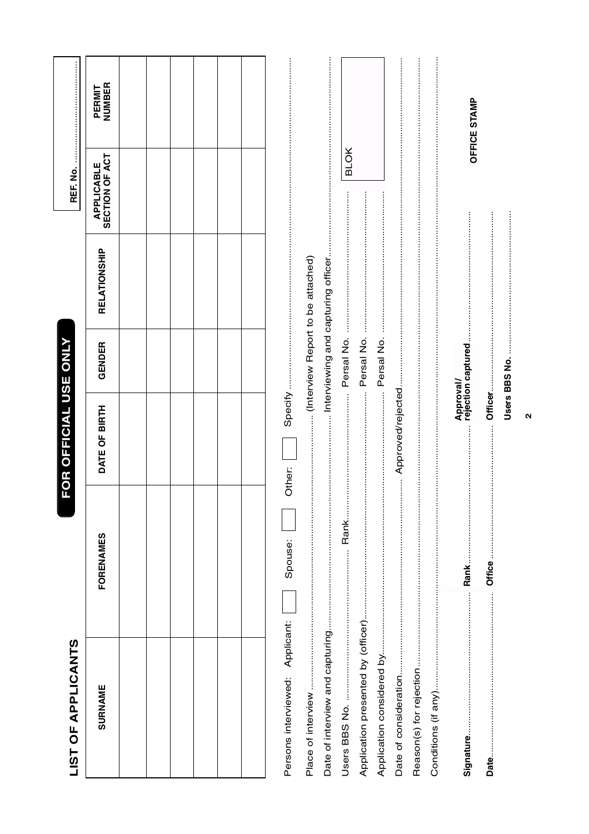| <b>IST OF APPLICANTS</b>           |                               | FOR OFFICIAL USE ONLY |                                 |              |                                     |                  |  |
|------------------------------------|-------------------------------|-----------------------|---------------------------------|--------------|-------------------------------------|------------------|--|
| <b>SURNAME</b>                     | FORENAMES                     | DATE OF BIRTH         | GENDER                          | RELATIONSHIP | SECTION OF ACT<br><b>APPLICABLE</b> | NUMBER<br>PERMIT |  |
|                                    |                               |                       |                                 |              |                                     |                  |  |
|                                    |                               |                       |                                 |              |                                     |                  |  |
|                                    |                               |                       |                                 |              |                                     |                  |  |
|                                    |                               |                       |                                 |              |                                     |                  |  |
|                                    |                               |                       |                                 |              |                                     |                  |  |
|                                    |                               |                       |                                 |              |                                     |                  |  |
| Applicant:<br>Persons interviewed: | Spouse:                       | Other:                |                                 |              |                                     |                  |  |
|                                    |                               |                       |                                 |              |                                     |                  |  |
| Date of interview and capturing    |                               |                       |                                 |              |                                     |                  |  |
|                                    | Rank                          |                       |                                 |              | <b>BLOK</b><br>$\frac{1}{2}$        |                  |  |
|                                    |                               |                       |                                 |              |                                     |                  |  |
|                                    |                               |                       |                                 |              |                                     |                  |  |
|                                    | <br> <br> <br> <br> <br> <br> |                       |                                 |              |                                     |                  |  |
|                                    | :<br>:<br>:<br>:              |                       |                                 |              |                                     |                  |  |
|                                    |                               |                       |                                 |              |                                     |                  |  |
| signature                          | Rank                          |                       | Approval/<br>rejection captured |              |                                     | OFFICE STAMP     |  |
|                                    |                               |                       |                                 |              |                                     |                  |  |
|                                    |                               |                       | Users BBS No.                   |              |                                     |                  |  |
|                                    |                               | ุ                     |                                 |              |                                     |                  |  |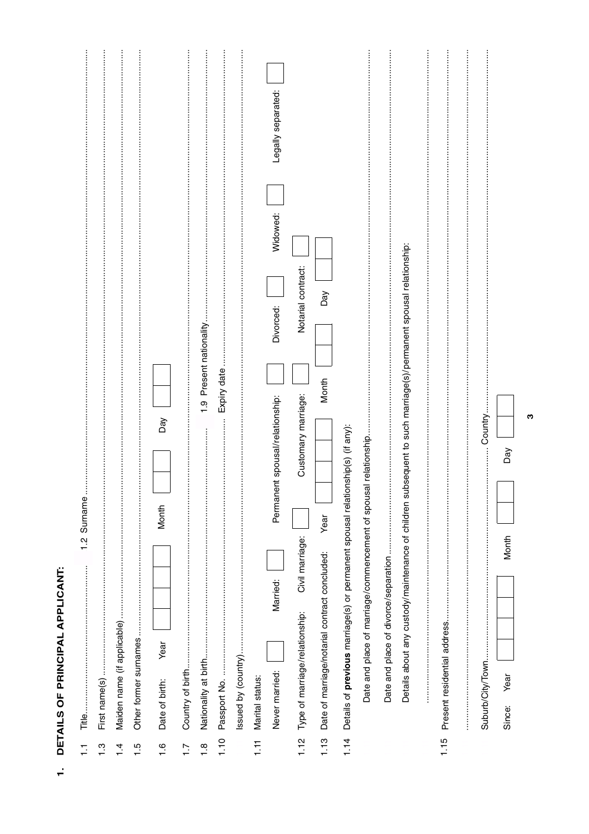| L                                                         |  |
|-----------------------------------------------------------|--|
|                                                           |  |
| ĵ<br>í<br>ï<br>֧֧֧֧֚֚֚֚֚֚֚֚֚֚֚֚֚֚֚֚֚֚֚֚֚֚֚֚֕֡֡֡֡֡֡֡֡֬֝֓֓֓ |  |
| i                                                         |  |

| Ξ               | Surname<br>$\frac{2}{1}$                                                                                             |
|-----------------|----------------------------------------------------------------------------------------------------------------------|
| $\frac{3}{1}$   | First name(s)                                                                                                        |
| $1\overline{4}$ | Maiden name (if applicable)                                                                                          |
| 1.5             | Other former surnames                                                                                                |
| $\frac{6}{1}$   | Day<br>Month<br>Year<br>Date of birth:                                                                               |
| $\ddot{ }$ :1   |                                                                                                                      |
| $\frac{8}{1}$   | 1.9 Present nationality<br>Nationality at birth                                                                      |
| 1.10            | Expiry date<br>Passport No.                                                                                          |
|                 |                                                                                                                      |
| $\overline{1}$  | Marital status:                                                                                                      |
|                 | Legally separated:<br>Widowed:<br>Divorced:<br>Permanent spousal/relationship:<br>Married:<br>Never married:         |
| 1.12            | Notarial contract:<br>Customary marriage:<br>Civil marriage:<br>Type of marriage/relationship:                       |
| 1.13            | Day<br>Month<br>Year<br>Date of marriage/notarial contract concluded:                                                |
| 1.14            | Details of previous marriage(s) or permanent spousal relationship(s) (if any):                                       |
|                 | Date and place of marriage/commencement of spousal relationship                                                      |
|                 |                                                                                                                      |
|                 | bsequent to such marriage(s)/permanent spousal relationship:<br>Details about any custody/maintenance of children su |
|                 | i                                                                                                                    |
| 1.15            |                                                                                                                      |
|                 | Country.<br>Suburb/City/Town                                                                                         |
|                 | Day<br>Month<br>Year<br>Since:                                                                                       |

 $\boldsymbol{\omega}$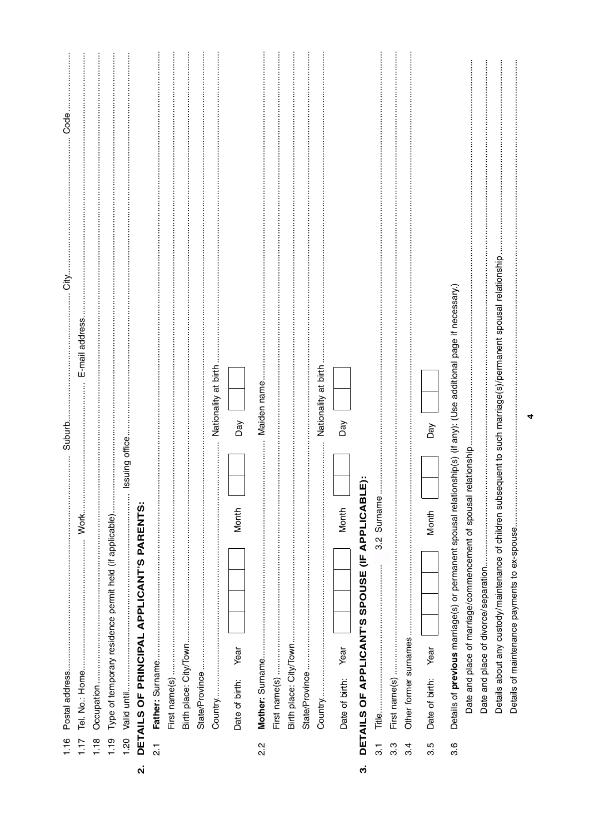|                    | 1.16             | Postal address                                                                                                            | Suburb                                                     | خ<br>5 | Code |
|--------------------|------------------|---------------------------------------------------------------------------------------------------------------------------|------------------------------------------------------------|--------|------|
|                    | 1.17             |                                                                                                                           | E-mail address                                             |        |      |
|                    | 1.18             | Occupation                                                                                                                |                                                            |        |      |
|                    | 1.19             | Type of temporary residence permit held (if applicable)                                                                   |                                                            |        |      |
|                    | 1.20             | Valid until                                                                                                               | Issuing office                                             |        |      |
| $\dot{\mathbf{q}}$ |                  | DETAILS OF PRINCIPAL APPLICANT'S PARENTS:                                                                                 |                                                            |        |      |
|                    | $\vec{\Omega}$   | Father: Surname                                                                                                           |                                                            |        |      |
|                    |                  | First name(s)                                                                                                             |                                                            |        |      |
|                    |                  | Birth place: City/Town                                                                                                    |                                                            |        |      |
|                    |                  | State/Province                                                                                                            |                                                            |        |      |
|                    |                  | :<br>:<br>:<br>:<br>Country                                                                                               | Nationality at birth                                       |        |      |
|                    |                  | Month<br>Year<br>Date of birth:                                                                                           | Day                                                        |        |      |
|                    | $2.\overline{2}$ |                                                                                                                           | Maiden name                                                |        |      |
|                    |                  | First name(s)                                                                                                             |                                                            |        |      |
|                    |                  | Birth place: City/Town                                                                                                    |                                                            |        |      |
|                    |                  | State/Province                                                                                                            |                                                            |        |      |
|                    |                  |                                                                                                                           | Nationality at birth                                       |        |      |
|                    |                  | Month<br>Year<br>Date of birth:                                                                                           | Day                                                        |        |      |
| က                  |                  | نَ<br>ا<br>DETAILS OF APPLICANT'S SPOUSE (IF APPLICAB                                                                     |                                                            |        |      |
|                    | $\overline{3}$ . | 3.2 Surname<br>Title                                                                                                      |                                                            |        |      |
|                    | 33               |                                                                                                                           |                                                            |        |      |
|                    | 3.4              | Other former surnames                                                                                                     |                                                            |        |      |
|                    | 3.5              | Month<br>Year<br>Date of birth:                                                                                           | Day                                                        |        |      |
|                    | 3.6              | Details of <b>previous</b> marriage(s) or permanent spousal relationship(s) (if any): (Use additional page if necessary.) |                                                            |        |      |
|                    |                  | Date and place of marriage/commencement of spousal relationship                                                           |                                                            |        |      |
|                    |                  | Date and place of divorce/separation                                                                                      |                                                            |        |      |
|                    |                  | Details about any custody/maintenance of children sub                                                                     | sequent to such marriage(s)/permanent spousal relationship |        |      |
|                    |                  | Details of maintenance payments to ex-spouse                                                                              |                                                            |        |      |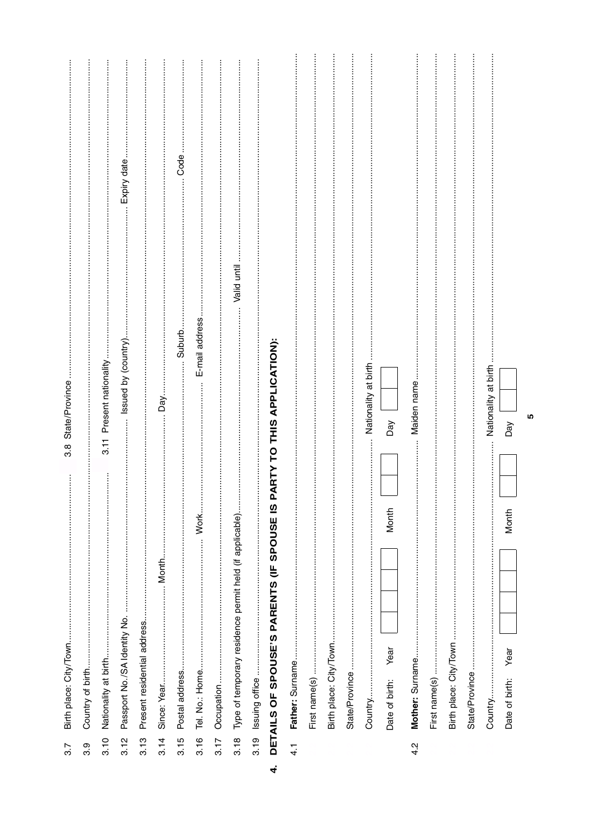| 3.7           | Birth place: City/Town                                                |       | $3.\overline{8}$ | State/Province       |                     |             |  |
|---------------|-----------------------------------------------------------------------|-------|------------------|----------------------|---------------------|-------------|--|
| 3.9           | Country of birth                                                      |       |                  |                      |                     |             |  |
| 3.10          | Nationality at birth                                                  |       | $\frac{1}{3}$    | Present nationality. |                     |             |  |
| 3.12          | Passport No./SA Identity No.                                          |       |                  |                      | Issued by (country) | Expiry date |  |
| 3.13          | Present residential address                                           |       |                  |                      |                     |             |  |
| 3.14          | Since: Year                                                           | Month |                  | Day.                 |                     |             |  |
| 3.15          | Postal address                                                        |       |                  |                      | . Suburb.           | Code        |  |
| 3.16          | Tel. No.: Home                                                        | Work  |                  |                      | E-mail address      |             |  |
| 3.17          |                                                                       |       |                  |                      |                     |             |  |
|               | 3.18 Type of temporary residence permit held (if applicable)          |       |                  |                      | Valid until         |             |  |
|               | 3.19 Issuing office                                                   |       |                  |                      |                     |             |  |
| $\vec{r}$     | DETAILS OF SPOUSE'S PARENTS (IF SPOUSE IS PARTY TO THIS APPLICATION): |       |                  |                      |                     |             |  |
| $\frac{1}{4}$ | Father: Surname                                                       |       |                  |                      |                     |             |  |
|               | First name(s)                                                         |       |                  |                      |                     |             |  |
|               | Birth place: City/Town                                                |       |                  |                      |                     |             |  |
|               | State/Province                                                        |       |                  |                      |                     |             |  |
|               | Country                                                               |       |                  | Nationality at birth |                     |             |  |
|               | Year<br>Date of birth:                                                | Month |                  | Day                  |                     |             |  |
| 4.2           | Mother: Surname                                                       |       |                  | Maiden name          |                     |             |  |
|               | First name(s)                                                         |       |                  |                      |                     |             |  |
|               | Birth place: City/Town                                                |       |                  |                      |                     |             |  |
|               | State/Province                                                        |       |                  |                      |                     |             |  |
|               | Country                                                               |       |                  | Nationality at birth |                     |             |  |
|               | Year<br>Date of birth:                                                | Month |                  | Day                  |                     |             |  |
|               |                                                                       |       |                  | 5                    |                     |             |  |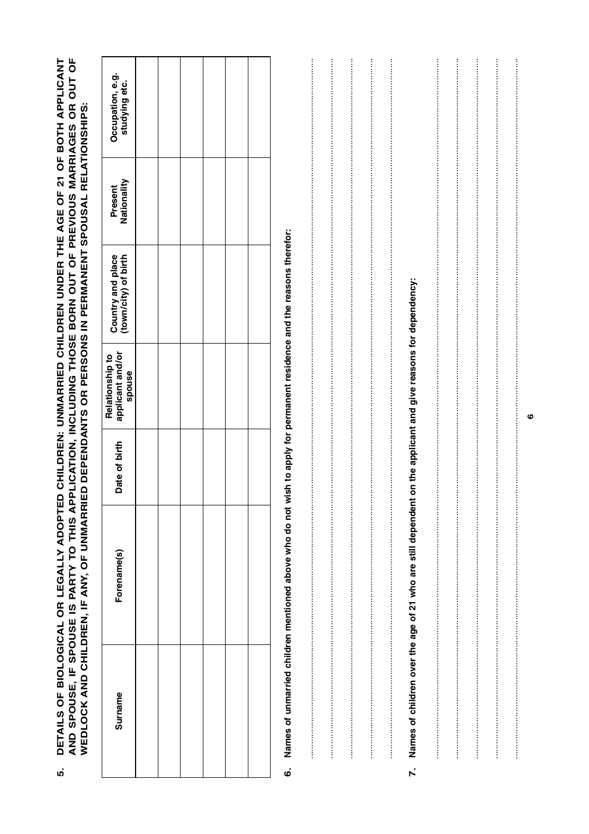|  | l Polationebin to                                                                                                                                                                                                                                                                                                                            |    |
|--|----------------------------------------------------------------------------------------------------------------------------------------------------------------------------------------------------------------------------------------------------------------------------------------------------------------------------------------------|----|
|  | PPLICATION, INCLUDING THOSE BORN OUT OF PREVIOUS MARRIAGES OR OUT OF<br>ETAILS OF BIOLOGICAL OR LEGALLY ADOPTED CHILDREN: UNMARRIED CHILDREN UNDER THE AGE OF 21 OF BOTH APPLICANT<br>IED DEPENDANTS OR PERSONS IN PERMANENT SPOUSAL RELATIONSHIPS:<br>WEDLOCK AND CHILDREN. IF ANY. OF UNMARRI<br>AND SPOUSE, IF SPOUSE IS PARTY TO THIS AI | r. |
|  |                                                                                                                                                                                                                                                                                                                                              |    |

| Occupation, e.g.<br>studying etc.             |  |  |  |
|-----------------------------------------------|--|--|--|
| Present<br>Nationality                        |  |  |  |
| Country and place<br>(town/city) of birth     |  |  |  |
| Relationship to<br>applicant and/or<br>spouse |  |  |  |
| Date of birth                                 |  |  |  |
| Forename(s)                                   |  |  |  |
| Surname                                       |  |  |  |

# 6. Names of unmarried children mentioned above who do not wish to apply for permanent residence and the reasons therefor:

|  |  | on the applicant and give reasons for dependency:               |  |  |
|--|--|-----------------------------------------------------------------|--|--|
|  |  |                                                                 |  |  |
|  |  |                                                                 |  |  |
|  |  |                                                                 |  |  |
|  |  |                                                                 |  |  |
|  |  |                                                                 |  |  |
|  |  |                                                                 |  |  |
|  |  |                                                                 |  |  |
|  |  |                                                                 |  |  |
|  |  |                                                                 |  |  |
|  |  |                                                                 |  |  |
|  |  |                                                                 |  |  |
|  |  |                                                                 |  |  |
|  |  |                                                                 |  |  |
|  |  |                                                                 |  |  |
|  |  |                                                                 |  |  |
|  |  |                                                                 |  |  |
|  |  |                                                                 |  |  |
|  |  |                                                                 |  |  |
|  |  |                                                                 |  |  |
|  |  |                                                                 |  |  |
|  |  |                                                                 |  |  |
|  |  |                                                                 |  |  |
|  |  |                                                                 |  |  |
|  |  |                                                                 |  |  |
|  |  |                                                                 |  |  |
|  |  |                                                                 |  |  |
|  |  |                                                                 |  |  |
|  |  |                                                                 |  |  |
|  |  |                                                                 |  |  |
|  |  |                                                                 |  |  |
|  |  |                                                                 |  |  |
|  |  |                                                                 |  |  |
|  |  |                                                                 |  |  |
|  |  |                                                                 |  |  |
|  |  |                                                                 |  |  |
|  |  |                                                                 |  |  |
|  |  |                                                                 |  |  |
|  |  |                                                                 |  |  |
|  |  |                                                                 |  |  |
|  |  |                                                                 |  |  |
|  |  |                                                                 |  |  |
|  |  |                                                                 |  |  |
|  |  |                                                                 |  |  |
|  |  |                                                                 |  |  |
|  |  |                                                                 |  |  |
|  |  |                                                                 |  |  |
|  |  |                                                                 |  |  |
|  |  |                                                                 |  |  |
|  |  |                                                                 |  |  |
|  |  |                                                                 |  |  |
|  |  |                                                                 |  |  |
|  |  |                                                                 |  |  |
|  |  |                                                                 |  |  |
|  |  |                                                                 |  |  |
|  |  |                                                                 |  |  |
|  |  |                                                                 |  |  |
|  |  |                                                                 |  |  |
|  |  |                                                                 |  |  |
|  |  |                                                                 |  |  |
|  |  |                                                                 |  |  |
|  |  |                                                                 |  |  |
|  |  |                                                                 |  |  |
|  |  |                                                                 |  |  |
|  |  |                                                                 |  |  |
|  |  |                                                                 |  |  |
|  |  | 7. Names of children over the age of 21 who are still dependent |  |  |
|  |  |                                                                 |  |  |
|  |  |                                                                 |  |  |
|  |  |                                                                 |  |  |

 $\bullet$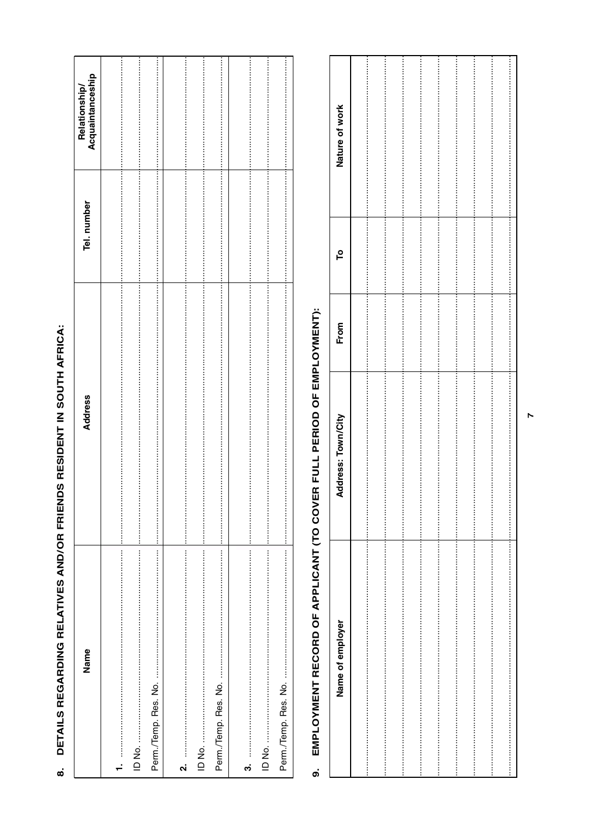| Name   | <b>Address</b> | Tel. number | Acquaintanceship<br><b>Relationship</b> |
|--------|----------------|-------------|-----------------------------------------|
|        |                |             |                                         |
|        |                |             |                                         |
|        |                |             |                                         |
| .<br>ا |                |             |                                         |
|        |                |             |                                         |
|        |                |             |                                         |
| က်     |                |             |                                         |
|        |                |             |                                         |
|        |                |             |                                         |

### DETAILS REGARDING RELATIVES AND/OR FRIENDS RESIDENT IN SOUTH AFRICA:  $\dot{\bullet}$

## EMPLOYMENT RECORD OF APPLICANT (TO COVER FULL PERIOD OF EMPLOYMENT):  $\dot{\mathsf{o}}$

| Nature of work     |  |  |  |  |  |
|--------------------|--|--|--|--|--|
|                    |  |  |  |  |  |
|                    |  |  |  |  |  |
|                    |  |  |  |  |  |
|                    |  |  |  |  |  |
|                    |  |  |  |  |  |
|                    |  |  |  |  |  |
|                    |  |  |  |  |  |
|                    |  |  |  |  |  |
|                    |  |  |  |  |  |
|                    |  |  |  |  |  |
| ٩                  |  |  |  |  |  |
|                    |  |  |  |  |  |
|                    |  |  |  |  |  |
|                    |  |  |  |  |  |
|                    |  |  |  |  |  |
|                    |  |  |  |  |  |
|                    |  |  |  |  |  |
| From               |  |  |  |  |  |
|                    |  |  |  |  |  |
|                    |  |  |  |  |  |
|                    |  |  |  |  |  |
|                    |  |  |  |  |  |
|                    |  |  |  |  |  |
|                    |  |  |  |  |  |
|                    |  |  |  |  |  |
| Address: Town/City |  |  |  |  |  |
|                    |  |  |  |  |  |
|                    |  |  |  |  |  |
|                    |  |  |  |  |  |
|                    |  |  |  |  |  |
|                    |  |  |  |  |  |
|                    |  |  |  |  |  |
|                    |  |  |  |  |  |
|                    |  |  |  |  |  |
|                    |  |  |  |  |  |
|                    |  |  |  |  |  |
|                    |  |  |  |  |  |
|                    |  |  |  |  |  |
|                    |  |  |  |  |  |
|                    |  |  |  |  |  |
|                    |  |  |  |  |  |
|                    |  |  |  |  |  |
|                    |  |  |  |  |  |
|                    |  |  |  |  |  |
| Name of employer   |  |  |  |  |  |
|                    |  |  |  |  |  |
|                    |  |  |  |  |  |
|                    |  |  |  |  |  |
|                    |  |  |  |  |  |
|                    |  |  |  |  |  |
|                    |  |  |  |  |  |
|                    |  |  |  |  |  |
|                    |  |  |  |  |  |
|                    |  |  |  |  |  |
|                    |  |  |  |  |  |
|                    |  |  |  |  |  |
|                    |  |  |  |  |  |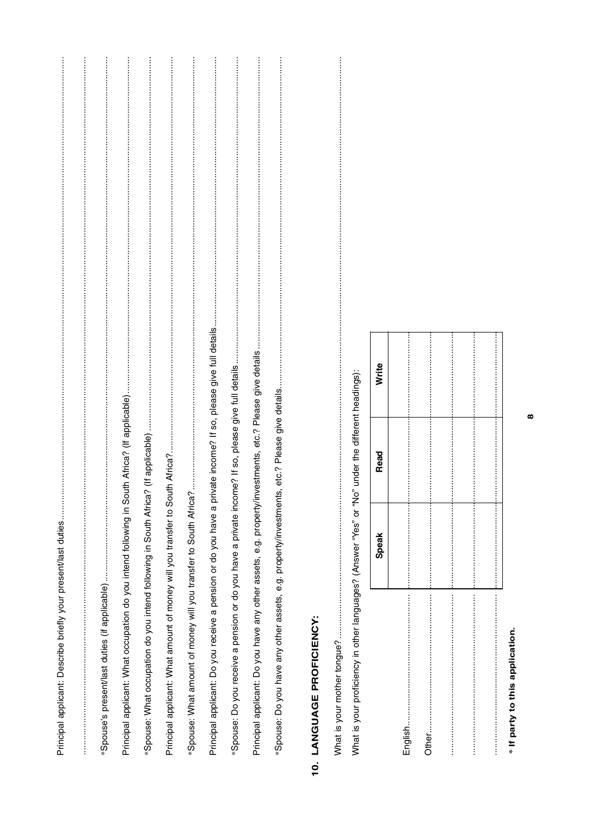| *Spouse's present/last duties (if applicable)                                                                     |
|-------------------------------------------------------------------------------------------------------------------|
|                                                                                                                   |
|                                                                                                                   |
| Principal applicant: What amount of money will you transfer to S                                                  |
|                                                                                                                   |
| private income? If so, please give full details<br>Principal applicant: Do you receive a pension or do you have a |
| *Spouse: Do you receive a pension or do you have a private inc                                                    |
|                                                                                                                   |
|                                                                                                                   |
|                                                                                                                   |

#### 10. LANGUAGE PROFICIENCY:

|   | "In" under the different headings)                                                  |
|---|-------------------------------------------------------------------------------------|
| d | "hat is vour proticiency in other language? (Answer "Yes" or "N<br>5<br>5<br>;<br>; |
|   | ֦<br>5<br>)<br>8                                                                    |

| <b>Speak</b> | Read | Write |
|--------------|------|-------|
|              |      |       |
|              |      |       |
|              |      |       |
|              |      |       |
|              |      |       |
|              |      |       |

\* If party to this application.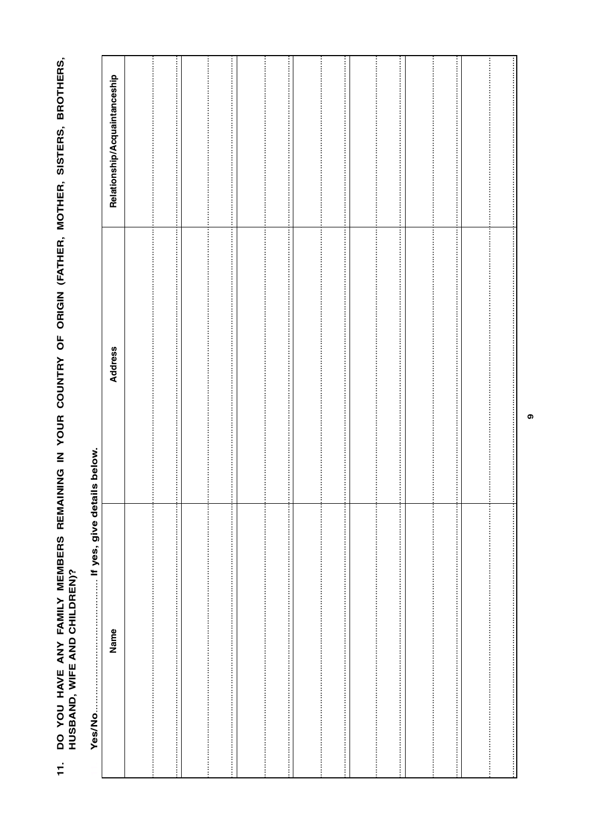DO YOU HAVE ANY FAMILY MEMBERS REMAINING IN YOUR COUNTRY OF ORIGIN (FATHER, MOTHER, SISTERS, BROTHERS,<br>HUSBAND, WIFE AND CHILDREN)?  $\ddot{1}$ 

| If yes, give details below.<br>Yes/No |                            |                                                                                                                                                                                                                                                                                                                                     |
|---------------------------------------|----------------------------|-------------------------------------------------------------------------------------------------------------------------------------------------------------------------------------------------------------------------------------------------------------------------------------------------------------------------------------|
| Name                                  | Address                    | Relationship/Acquaintanceship                                                                                                                                                                                                                                                                                                       |
|                                       |                            |                                                                                                                                                                                                                                                                                                                                     |
|                                       | ÷                          |                                                                                                                                                                                                                                                                                                                                     |
|                                       |                            |                                                                                                                                                                                                                                                                                                                                     |
|                                       | Ī<br>ļ<br>:<br>:<br>:<br>: | ļ                                                                                                                                                                                                                                                                                                                                   |
|                                       |                            |                                                                                                                                                                                                                                                                                                                                     |
|                                       | l<br>İ<br>÷                | l<br>l<br>ļ                                                                                                                                                                                                                                                                                                                         |
|                                       |                            |                                                                                                                                                                                                                                                                                                                                     |
|                                       | Ţ<br>÷<br>÷                | ŧ                                                                                                                                                                                                                                                                                                                                   |
|                                       |                            |                                                                                                                                                                                                                                                                                                                                     |
|                                       | ÷<br>÷                     | ŧ<br>$\begin{bmatrix} 1 & 0 & 0 \\ 0 & 1 & 0 \\ 0 & 0 & 0 \\ 0 & 0 & 0 \\ 0 & 0 & 0 \\ 0 & 0 & 0 \\ 0 & 0 & 0 & 0 \\ 0 & 0 & 0 & 0 \\ 0 & 0 & 0 & 0 \\ 0 & 0 & 0 & 0 & 0 \\ 0 & 0 & 0 & 0 & 0 \\ 0 & 0 & 0 & 0 & 0 \\ 0 & 0 & 0 & 0 & 0 & 0 \\ 0 & 0 & 0 & 0 & 0 & 0 \\ 0 & 0 & 0 & 0 & 0 & 0 & 0 \\ 0 & 0 & 0 & 0 & 0 & 0 & 0 \\ $ |
|                                       | ÷                          | ÷<br>ŧ                                                                                                                                                                                                                                                                                                                              |
|                                       | ÷                          | i<br>!<br>!                                                                                                                                                                                                                                                                                                                         |
|                                       | t                          |                                                                                                                                                                                                                                                                                                                                     |
|                                       | t                          |                                                                                                                                                                                                                                                                                                                                     |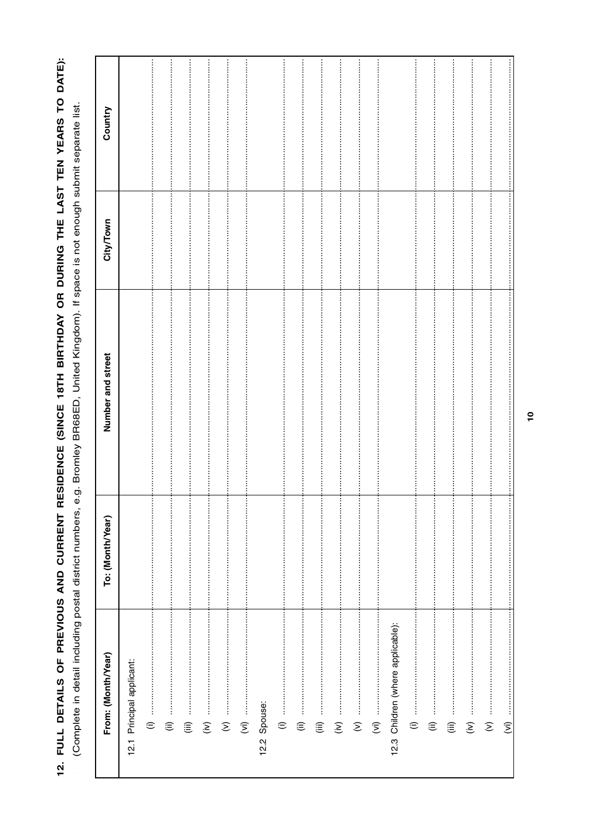12. FULL DETAILS OF PREVIOUS AND CURRENT RESIDENCE (SINCE 18TH BIRTHDAY OR DURING THE LAST TEN YEARS TO DATE): (Complete in detail including postal district numbers, e.g. Bromley BR68ED, United Kingdom). If space is not enough submit separate list.

| From: (Month/Year)                       | To: (Month/Year) | Number and street | City/Town        | Country               |
|------------------------------------------|------------------|-------------------|------------------|-----------------------|
| 12.1 Principal applicant:                |                  |                   |                  |                       |
| $\ddot{}}$<br>$\oplus$                   |                  |                   |                  |                       |
| $\widehat{\equiv}$                       |                  | $\vdots$          | i                |                       |
| $\widehat{\mathbb{H}}$                   | :<br>:<br>:<br>: |                   |                  | İ                     |
| $\widehat{\boldsymbol{\epsilon}}$        |                  |                   |                  |                       |
| :<br>:<br>:<br>:<br>$\hat{z}$            |                  | j                 | i<br>:<br>:<br>: | İ                     |
| $\widehat{\Sigma}$                       |                  |                   |                  |                       |
| 12.2 Spouse:                             |                  |                   |                  |                       |
|                                          |                  | İ                 | i<br>:<br>:<br>j | :<br>:<br>:<br>:<br>İ |
| :<br>:<br>:<br>:<br>⊜                    | $\vdots$         |                   |                  |                       |
| :<br>:<br>:<br>$\widehat{\equiv}$        |                  |                   |                  |                       |
| :<br>:<br>:<br>$\widehat{\epsilon}$      | :<br>:<br>:<br>: |                   |                  |                       |
| :<br>:<br>:<br>:<br>$\widehat{\epsilon}$ |                  |                   |                  |                       |
| $\widehat{\xi}$                          |                  |                   |                  | İ                     |
| 12.3 Children (where applicable):        |                  |                   |                  |                       |
| $\oplus$                                 |                  |                   |                  |                       |
| $\widehat{\equiv}$                       |                  |                   |                  |                       |
| :<br>:<br>:<br>$\widehat{\equiv}$        |                  |                   |                  |                       |
| İ<br>$\widehat{\boldsymbol{\epsilon}}$   |                  |                   |                  |                       |
| İ<br>$\widehat{\epsilon}$                |                  |                   |                  |                       |
| $\widehat{\mathcal{E}}$                  |                  |                   |                  |                       |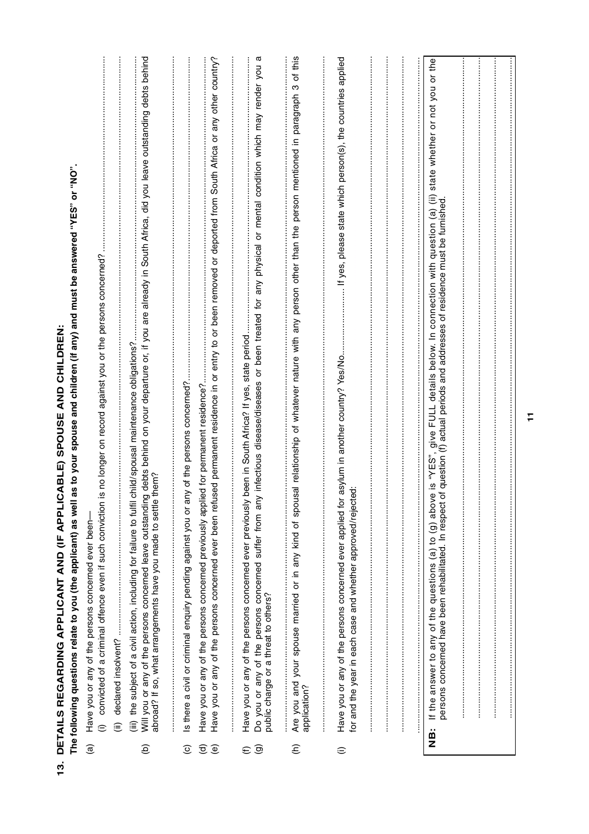| $\frac{3}{2}$ |                                                | DETAILS REGARDING APPLICANT AND (IF APPLICABLE) SPOUSE AND CHILDREN                                                                                                                                                                                                                                                                                                                                             |
|---------------|------------------------------------------------|-----------------------------------------------------------------------------------------------------------------------------------------------------------------------------------------------------------------------------------------------------------------------------------------------------------------------------------------------------------------------------------------------------------------|
|               |                                                | as to your spouse and children (if any) and must be answered "YES" or "NO".<br>The following questions relate to you (the applicant) as well                                                                                                                                                                                                                                                                    |
|               | $\widehat{a}$                                  | is no longer on record against you or the persons concerned?<br>convicted of a criminal offence even if such conviction<br>Have you or any of the persons concerned ever been-<br>$\widehat{=}$                                                                                                                                                                                                                 |
|               |                                                | declared insolvent?<br>⊜                                                                                                                                                                                                                                                                                                                                                                                        |
|               | ê                                              | Will you or any of the persons concerned leave outstanding debts behind on your departure or, if you are already in South Africa, did you leave outstanding debts behind<br>abroad? If so, what arrangements have you made to set<br>child/spousal maintenance obligations?<br>abroad? If so, what arrangements have you made to settle<br>(iii) the subject of a civil action, including for failure to fulfil |
|               | $\odot$                                        | Is there a civil or criminal enquiry pending against you or any of the persons concerned?                                                                                                                                                                                                                                                                                                                       |
|               | $\widehat{\sigma}$<br>$\widehat{e}$            | ised permanent residence in or entry to or been removed or deported from South Africa or any other country?<br>ed for permanent residence?<br>Have you or any of the persons concerned ever been refu<br>Have you or any of the persons concerned previously appli                                                                                                                                              |
|               |                                                |                                                                                                                                                                                                                                                                                                                                                                                                                 |
|               | $\widehat{\mathbf{e}}$<br>$\widehat{\epsilon}$ | α<br>/ infectious disease/diseases or been treated for any physical or mental condition which may render you<br>been in South Africa? If yes, state period.<br>Have you or any of the persons concerned ever previously<br>Do you or any of the persons concerned suffer from any<br>public charge or a threat to others?                                                                                       |
|               | $\widehat{\epsilon}$                           | this<br>Ⴆ<br>ო<br>person other than the person mentioned in paragraph<br>sal relationship of whatever nature with any<br>Are you and your spouse married or in any kind of spou<br>application?                                                                                                                                                                                                                 |
|               | $\widehat{=}$                                  | If yes, please state which person(s), the countries applied<br>asylum in another country? Yes/No.<br>ġ<br>Have you or any of the persons concerned ever applied for<br>for and the year in each case and whether approved/reject                                                                                                                                                                                |
|               |                                                |                                                                                                                                                                                                                                                                                                                                                                                                                 |
|               | is<br>2                                        | re is "YES", give FULL details below. In connection with question (a) (ii) state whether or not you or the<br>of question (f) actual periods and addresses of residence must be furnished.<br>e is "YES"<br>If the answer to any of the questions (a) to (g) abov<br>persons concerned have been rehabilitated. In respect                                                                                      |
|               |                                                |                                                                                                                                                                                                                                                                                                                                                                                                                 |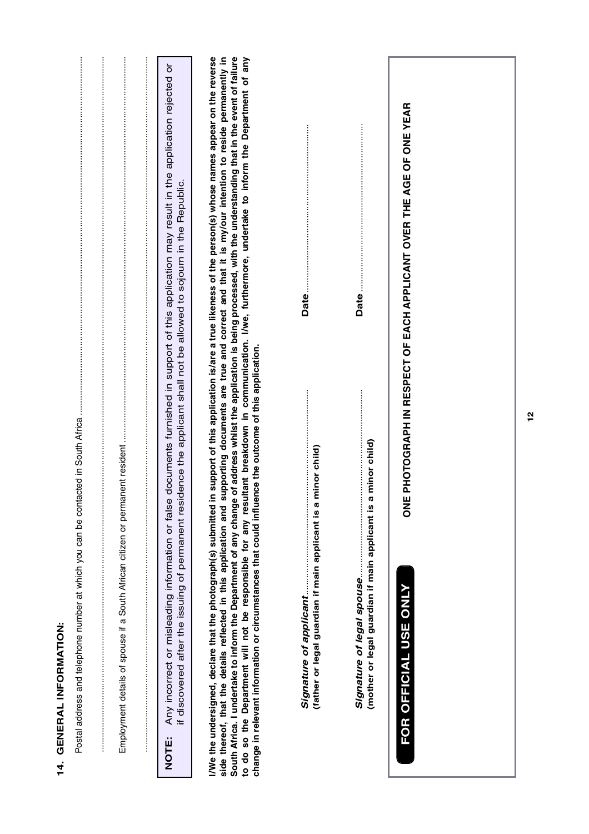| GENERAL INFORMATION:<br>$\frac{4}{1}$                                                                                                                                                                                                                                                                                                                                                                                                                                                                                                                                                                                                                                                                                                                                                                  |
|--------------------------------------------------------------------------------------------------------------------------------------------------------------------------------------------------------------------------------------------------------------------------------------------------------------------------------------------------------------------------------------------------------------------------------------------------------------------------------------------------------------------------------------------------------------------------------------------------------------------------------------------------------------------------------------------------------------------------------------------------------------------------------------------------------|
| a a series a componenta de la componenta de la componenta de la componenta de la componenta de la componenta de<br>Employment details of spouse if a South African citizen or permanent resident<br>$\alpha$ . The construction of the construction of the construction of the construction of the construction of the construction of the construction of the construction of the construction of the construction of the constructi                                                                                                                                                                                                                                                                                                                                                                  |
| documents furnished in support of this application may result in the application rejected or<br>dence the applicant shall not be allowed to sojourn in the Republic.<br>if discovered after the issuing of permanent resi-<br>Any incorrect or misleading information or false<br><b>NOTE:</b>                                                                                                                                                                                                                                                                                                                                                                                                                                                                                                         |
| I/We the undersigned, declare that the photograph(s) submitted in support of this application is/are a true likeness of the person(s) whose names appear on the reverse<br>side thereof, that the details reflected in this application and supporting documents are true and correct and that it is my/our intention to reside permanently in<br>of address whilst the application is being processed, with the understanding that in the event of failure<br>to do so the Department will not be responsible for any resultant breakdown in communication. I/we, furthermore, undertake to inform the Department of any<br>change in relevant information or circumstances that could influence the outcome of this application.<br>South Africa. I undertake to inform the Department of any change |
| $\vdots$<br>minor child)<br>(father or legal guardian if main applicant is a<br>Signature of applicant                                                                                                                                                                                                                                                                                                                                                                                                                                                                                                                                                                                                                                                                                                 |
| minor child)<br>(mother or legal guardian if main applicant is a                                                                                                                                                                                                                                                                                                                                                                                                                                                                                                                                                                                                                                                                                                                                       |
| PHOTOGRAPH IN RESPECT OF EACH APPLICANT OVER THE AGE OF ONE YEAR<br><b>ME</b><br>FOR OFFICIAL USE ONLY                                                                                                                                                                                                                                                                                                                                                                                                                                                                                                                                                                                                                                                                                                 |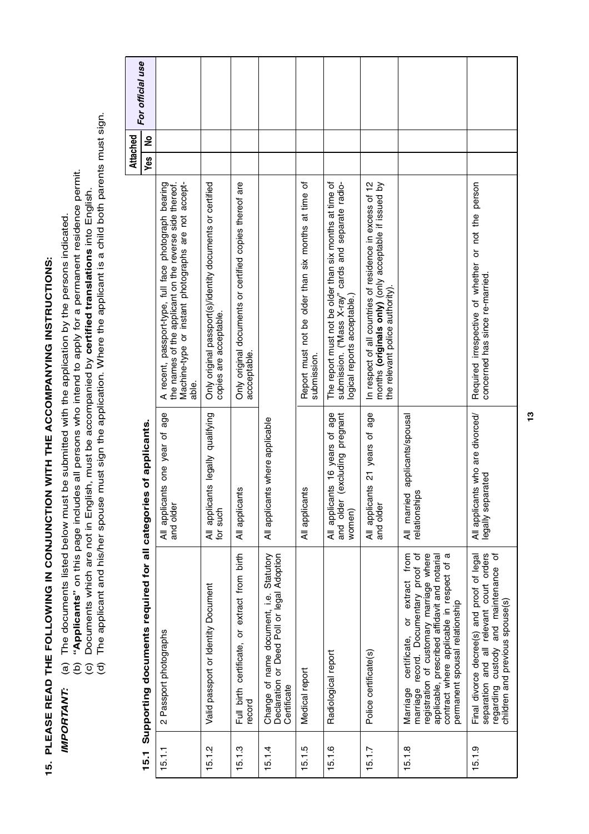| <br> <br>                |
|--------------------------|
|                          |
|                          |
|                          |
|                          |
| י<br> <br> <br>          |
|                          |
|                          |
|                          |
|                          |
|                          |
|                          |
|                          |
|                          |
|                          |
|                          |
|                          |
|                          |
|                          |
|                          |
|                          |
|                          |
| $\overline{\phantom{a}}$ |
| Í                        |
|                          |
|                          |
|                          |
|                          |
| ļ                        |
|                          |
| L<br>I                   |
| ļ<br>l                   |
| í                        |
|                          |
|                          |
| l                        |
| ŋ<br>I                   |
|                          |

- *IMPORTANT:* (a) The documents listed below must be submitted with the application by the persons indicated. **IMPORTANT:**
- (a) The documents listed below must be submitted with the application by the persons indicated.<br>(b) "**Applicants**" on this page includes all persons who intend to apply for a permanent residence permit.<br>(c) Documents which (b) **"Applicants"** on this page includes all persons who intend to apply for a permanent residence permit.
	- (c) Documents which are not in English, must be accompanied by **certified translations** into English.
- (d) The applicant and his/her spouse must sign the application. Where the applicant is a child both parents must sign.

| For official use<br>Attached | ş                                                               |                                                                                                                                                                         |                                                                                     |                                                                         |                                                                                                      |                                                                    |                                                                                                                                                |                                                                                                                                                              |                                                                                                                                                                                                                                                                                         |
|------------------------------|-----------------------------------------------------------------|-------------------------------------------------------------------------------------------------------------------------------------------------------------------------|-------------------------------------------------------------------------------------|-------------------------------------------------------------------------|------------------------------------------------------------------------------------------------------|--------------------------------------------------------------------|------------------------------------------------------------------------------------------------------------------------------------------------|--------------------------------------------------------------------------------------------------------------------------------------------------------------|-----------------------------------------------------------------------------------------------------------------------------------------------------------------------------------------------------------------------------------------------------------------------------------------|
|                              | Yes                                                             | Machine-type or instant photographs are not accept-<br>A recent, passport-type, full face photograph bearing<br>the names of the applicant on the reverse side thereof. | Only original passport(s)/identity documents or certified<br>copies are acceptable. | Only original documents or certified copies thereof are<br>accceptable. |                                                                                                      | Report must not be older than six months at time of<br>submission. | The report must not be older than six months at time of<br>submission. ("Mass X-ray" cards and separate radio-<br>logical reports acceptable.) | In respect of all countries of residence in excess of 12<br>months ( <b>originals only</b> ) (only acceptable if issued by<br>the relevant police authority) |                                                                                                                                                                                                                                                                                         |
|                              |                                                                 | able.<br>age<br>đ<br>All applicants one year<br>and older                                                                                                               | All applicants legally qualifying<br>for such                                       | etn<br>All applica                                                      | All applicants where applicable                                                                      | All applicants                                                     | All applicants 16 years of age<br>excluding<br>pregnat<br>and older<br>women)                                                                  | age<br>٦,<br>All applicants 21 years<br>and older                                                                                                            | All married applicants/spousal<br>jps<br>relationshi                                                                                                                                                                                                                                    |
|                              | Supporting documents required for all categories of applicants. | 2 Passport photographs                                                                                                                                                  | Valid passport or Identity Document                                                 | Full birth certificate, or extract from birth<br>record                 | Change of name document, i.e. Statutory<br>Declaration or Deed Poll or legal Adoption<br>Certificate | Medical report                                                     | Radiological report                                                                                                                            | Police certificate(s)                                                                                                                                        | contract where applicable in respect of a<br>from<br>marriage record. Documentary proof of<br>registration of customary marriage where<br>applicable, prescribed affidavit and notarial<br>extract<br>permanent spousal relationship<br>$\overline{\sigma}$<br>certificate,<br>Marriage |
|                              | 15.1                                                            | 15.1.1                                                                                                                                                                  | 15.1.2                                                                              | 15.1.3                                                                  | 15.1.4                                                                                               | 15.1.5                                                             | 15.1.6                                                                                                                                         | 15.1.7                                                                                                                                                       | 15.1.8                                                                                                                                                                                                                                                                                  |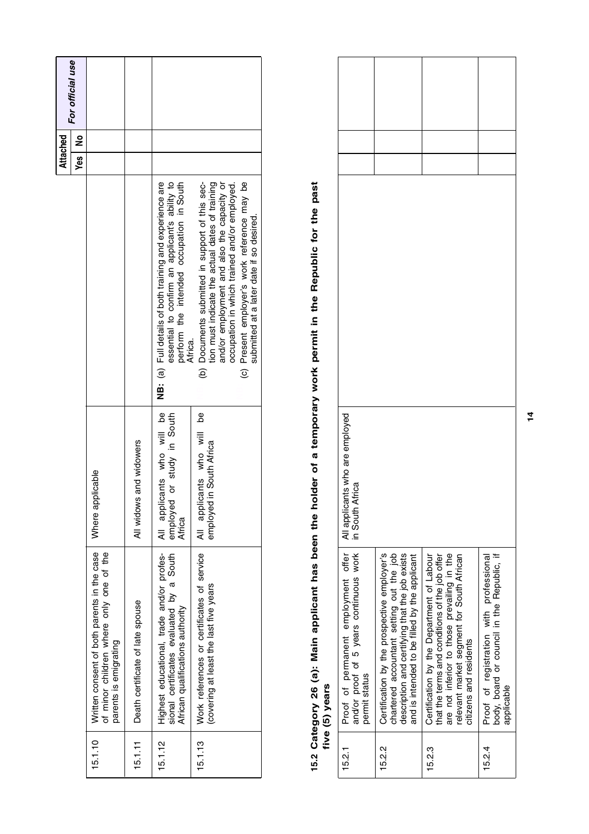| For official use<br>$\frac{9}{2}$<br>Yes |                                                                                                                 |                                  |                                                                                                                                                                   |                                                                                                                                                                                                                                                                                              |
|------------------------------------------|-----------------------------------------------------------------------------------------------------------------|----------------------------------|-------------------------------------------------------------------------------------------------------------------------------------------------------------------|----------------------------------------------------------------------------------------------------------------------------------------------------------------------------------------------------------------------------------------------------------------------------------------------|
|                                          |                                                                                                                 |                                  | NB: (a) Full details of both training and experience are<br>essential to confirm an applicant's ability to<br>perform the intended occupation in South<br>Africa. | (c) Present employer's work reference may be<br>occupation in which trained and/or employed.<br>tion must indicate the actual dates of training<br>and/or employment and also the capacity or<br>(b) Documents submitted in support of this sec-<br>submitted at a later date if so desired. |
|                                          | Where applicable                                                                                                | All widows and widowers          | All applicants who will be<br>or study in South<br>employed<br>Africa                                                                                             | All applicants who will be<br>employed in South Africa                                                                                                                                                                                                                                       |
|                                          | Written consent of both parents in the case<br>of minor children where only one of the<br>parents is emigrating | Death certificate of late spouse | Highest educational, trade and/or profes-<br>sional certificates evaluated by a South<br>African qualifications authority                                         | Work references or certificates of service<br>covering at least the last five years                                                                                                                                                                                                          |
|                                          | 15.1.10                                                                                                         | 15.1.11                          | 15.1.12                                                                                                                                                           | 15.1.13                                                                                                                                                                                                                                                                                      |

#### 15.2 Category 26 (a): Main applicant has been the holder of a temporary work permit in the Republic for the past<br>five (5) vears **Category 26 (a): Main applicant has been the holder of a temporary work permit in the Republic for the past five (5) years**

|        | nand Annual                                                                                                                                                                                                       |                                                    |  |
|--------|-------------------------------------------------------------------------------------------------------------------------------------------------------------------------------------------------------------------|----------------------------------------------------|--|
| 15.2   | Proof of permanent employment offer<br>and/or proof of 5 years continuous work<br>permit status                                                                                                                   | All applicants who are employed<br>in South Africa |  |
| 15.2.2 | Certification by the prospective employer's<br>chartered accountant setting out the job<br>description and certifying that the job exists<br>and is intended to be filled by the applicant                        |                                                    |  |
| 15.23  | Certification by the Department of Labour<br>that the terms and conditions of the job offer<br>are not inferior to those prevailing in the<br>relevant market segment for South African<br>citizens and residents |                                                    |  |
| 15.2.4 | body, board or council in the Republic, if<br>Proof of registration with professional<br>applicable                                                                                                               |                                                    |  |

**14**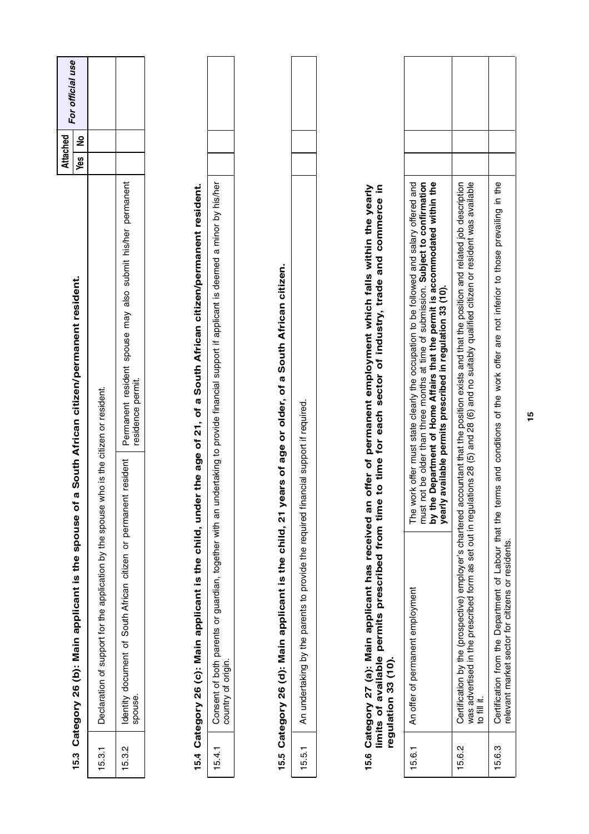|        |                                                                                                                |          |                                                                                                                                                                                                                                                                                                                     | Attached |   | For official use |
|--------|----------------------------------------------------------------------------------------------------------------|----------|---------------------------------------------------------------------------------------------------------------------------------------------------------------------------------------------------------------------------------------------------------------------------------------------------------------------|----------|---|------------------|
| 15.3   | Category 26 (b): Main applicant is the spouse of                                                               | Ø        | South African citizen/permanent resident.                                                                                                                                                                                                                                                                           | Yes      | ş |                  |
| 15.3.1 | Declaration of support for the application by the spouse who is the citizen or resident.                       |          |                                                                                                                                                                                                                                                                                                                     |          |   |                  |
| 15.3.2 | South African citizen or permanent<br>document of<br>spouse.<br>Identity                                       | resident | Permanent resident spouse may also submit his/her permanent<br>residence permit.                                                                                                                                                                                                                                    |          |   |                  |
|        |                                                                                                                |          |                                                                                                                                                                                                                                                                                                                     |          |   |                  |
|        | 15.4 Category 26 (c): Main applicant is the child, under                                                       |          | the age of 21, of a South African citizen/permanent resident.                                                                                                                                                                                                                                                       |          |   |                  |
| 15.4.1 | country of origin                                                                                              |          | Consent of both parents or guardian, together with an undertaking to provide financial support if applicant is deemed a minor by his/her                                                                                                                                                                            |          |   |                  |
|        |                                                                                                                |          |                                                                                                                                                                                                                                                                                                                     |          |   |                  |
|        | 15.5 Category 26 (d): Main applicant is the child, 21 yea                                                      |          | rs of age or older, of a South African citizen.                                                                                                                                                                                                                                                                     |          |   |                  |
| 15.5.1 | An undertaking by the parents to provide the required finan                                                    |          | cial support if required.                                                                                                                                                                                                                                                                                           |          |   |                  |
|        | regulation 33 (10).                                                                                            |          | 15.6 Category 27 (a): Main applicant has received an offer of permanent employment which falls within the yearly<br>limits of available permits prescribed from time to time for each sector of industry, trade and commerce in                                                                                     |          |   |                  |
| 15.6.1 | An offer of permanent employment                                                                               | by the I | Department of Home Affairs that the permit is accommodated within the<br>The work offer must state clearly the occupation to be followed and salary offered and<br>must not be older than three months at time of submission. Subject to confirmation<br>yearly available permits prescribed in regulation 33 (10). |          |   |                  |
| 15.6.2 | to fill it.                                                                                                    |          | Certification by the (prospective) employer's chartered accountant that the position exists and that the position and related job description<br>was advertised in the prescribed form as set out in regulations 28 (5) and 28 (6) and no suitably qualified citizen or resident was available                      |          |   |                  |
| 15.6.3 | Certification from the Department of Labour that the term<br>relevant market sector for citizens or residents. |          | is and conditions of the work offer are not inferior to those prevailing in the                                                                                                                                                                                                                                     |          |   |                  |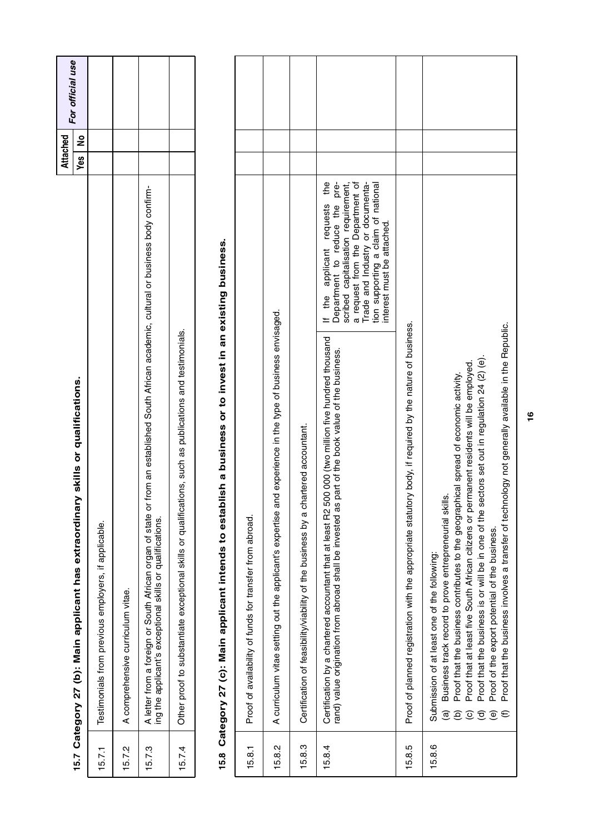|        |                                                                                                                                                                                                             | Attached | For official use |
|--------|-------------------------------------------------------------------------------------------------------------------------------------------------------------------------------------------------------------|----------|------------------|
|        | skills or qualifications.<br>15.7 Category 27 (b): Main applicant has extraordinary                                                                                                                         | Yes   No |                  |
| 15.7.1 | Testimonials from previous employers, if applicable.                                                                                                                                                        |          |                  |
| 15.7.2 | A comprehensive curriculum vitae.                                                                                                                                                                           |          |                  |
| 15.7.3 | from an established South African academic, cultural or business body confirm-<br>A letter from a foreign or South African organ of state or t<br>ing the applicant's exceptional skills or qualifications. |          |                  |
| 15.7.4 | Other proof to substantiate exceptional skills or qualifications, such as publications and testimonials.                                                                                                    |          |                  |

## 15.8 Category 27 (c): Main applicant intends to establish a business or to invest in an existing business. **15.8 Category 27 (c): Main applicant intends to establish a business or to invest in an existing business.**

| 15.8.1 | Proof of availability of funds for transfer from abroad.                                                                                                                                                                                                                                                                                                                                                                                                                                                                                                                                                    |                                                                                                                                                                                                                                                       |  |
|--------|-------------------------------------------------------------------------------------------------------------------------------------------------------------------------------------------------------------------------------------------------------------------------------------------------------------------------------------------------------------------------------------------------------------------------------------------------------------------------------------------------------------------------------------------------------------------------------------------------------------|-------------------------------------------------------------------------------------------------------------------------------------------------------------------------------------------------------------------------------------------------------|--|
| 15.8.2 | A curriculum vitae setting out the applicant's expertise and experience in the type of business envisaged                                                                                                                                                                                                                                                                                                                                                                                                                                                                                                   |                                                                                                                                                                                                                                                       |  |
| 15.8.3 | Certification of feasibility/viability of the business by a chartered accountant.                                                                                                                                                                                                                                                                                                                                                                                                                                                                                                                           |                                                                                                                                                                                                                                                       |  |
| 15.8.4 | Certification by a chartered accountant that at least R2 500 000 (two million five hundred thousand<br>part of the book value of the business.<br>rand) value origination from abroad shall be invested as                                                                                                                                                                                                                                                                                                                                                                                                  | the<br>a request from the Department of<br>Trade and Industry or documenta-<br>Department to reduce the pre-<br>scribed capitalisation requirement,<br>tion supporting a claim of national<br>applicant requests<br>interest must be attached.<br>the |  |
| 15.8.5 | Proof of planned registration with the appropriate statutory body, if required by the nature of business.                                                                                                                                                                                                                                                                                                                                                                                                                                                                                                   |                                                                                                                                                                                                                                                       |  |
| 15.8.6 | Proof that the business involves a transfer of technology not generally available in the Republic.<br>Proof that the business is or will be in one of the sectors set out in regulation 24 (2) (e).<br>Proof that at least five South African citizens or permanent residents will be employed.<br>Proof that the business contributes to the geographical spread of economic activity.<br>Business track record to prove entrepreneurial skills<br>Proof of the export potential of the business.<br>Submission of at least one of the following:<br>$\widehat{\mathbf{e}}$<br>T<br>$\widehat{\circ}$<br>€ |                                                                                                                                                                                                                                                       |  |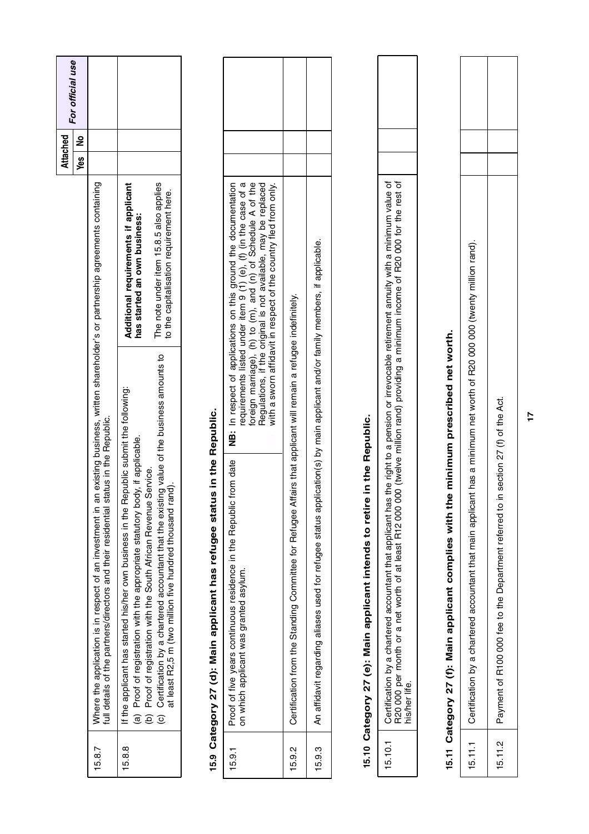|         |                                                                                                                                                                                                                                                                                                                                                                                                                                            |                               |                                                                                                                                                                                                                                                                                                                                         | Attached |               | For official use |
|---------|--------------------------------------------------------------------------------------------------------------------------------------------------------------------------------------------------------------------------------------------------------------------------------------------------------------------------------------------------------------------------------------------------------------------------------------------|-------------------------------|-----------------------------------------------------------------------------------------------------------------------------------------------------------------------------------------------------------------------------------------------------------------------------------------------------------------------------------------|----------|---------------|------------------|
|         |                                                                                                                                                                                                                                                                                                                                                                                                                                            |                               |                                                                                                                                                                                                                                                                                                                                         | Yes      | $\frac{1}{2}$ |                  |
| 15.8.7  | full details of the partners/directors and their residential status in the Republic.<br>Where the application is in respect of an investment in an                                                                                                                                                                                                                                                                                         |                               | existing business, written shareholder's or partnership agreements containing                                                                                                                                                                                                                                                           |          |               |                  |
| 15.8.8  | Certification by a chartered accountant that the existing value of the business amounts to<br>If the applicant has started his/her own business in the Republic submit the following:<br>Proof of registration with the appropriate statutory body, if applicable.<br>Proof of registration with the South African Revenue Service.<br>at least R2,5 m (two million five hundred thousand rand).<br>ê<br>$\widehat{\mathbf{a}}$<br>$\odot$ |                               | The note under item 15.8.5 also applies<br>Additional requirements if applicant<br>to the capitalisation requirement here.<br>has started an own business:                                                                                                                                                                              |          |               |                  |
| 15.9    | Category 27 (d): Main applicant has refugee status in the Republic.                                                                                                                                                                                                                                                                                                                                                                        |                               |                                                                                                                                                                                                                                                                                                                                         |          |               |                  |
| 15.9.1  | om date<br>Proof of five years continuous residence in the Republic fr<br>on which applicant was granted asylum.                                                                                                                                                                                                                                                                                                                           |                               | requirements listed under item 9 (1) (e), (f) (in the case of a<br>foreign marriage), (h) to (m), and (n) of Schedule A of the<br>Regulations, if the original is not available, may be replaced<br>NB: In respect of applications on this ground the documentation<br>with a sworn affidavit in respect of the country fled from only. |          |               |                  |
| 15.9.2  | Certification from the Standing Committee for Refugee Affairs that applicant will remain a refugee indefinitely.                                                                                                                                                                                                                                                                                                                           |                               |                                                                                                                                                                                                                                                                                                                                         |          |               |                  |
| 15.9.3  | An affidavit regarding aliases used for refugee status application(s) by main applicant and/or family members, if applicable.                                                                                                                                                                                                                                                                                                              |                               |                                                                                                                                                                                                                                                                                                                                         |          |               |                  |
|         | in the Republic.<br>15.10 Category 27 (e): Main applicant intends to retire                                                                                                                                                                                                                                                                                                                                                                |                               |                                                                                                                                                                                                                                                                                                                                         |          |               |                  |
| 15.10.1 | R20 000 per month or a net worth of at least R12 000 000 (twelve million rand) providing a minimum income of R20 000 for the rest of<br>Certification by a chartered accountant that applicant has<br>his/her life.                                                                                                                                                                                                                        |                               | the right to a pension or irrevocable retirement annuity with a minimum value of                                                                                                                                                                                                                                                        |          |               |                  |
| 15.11   | Category 27 (f): Main applicant complies with the                                                                                                                                                                                                                                                                                                                                                                                          | minimum prescribed net worth. |                                                                                                                                                                                                                                                                                                                                         |          |               |                  |
| 15.11.1 | Certification by a chartered accountant that main applicant has a minimum net worth of R20 000 000 (twenty million rand).                                                                                                                                                                                                                                                                                                                  |                               |                                                                                                                                                                                                                                                                                                                                         |          |               |                  |

| 5.11.1 | nt has a minimum net worth of R20 000 000 (twenty million rand'<br>Certification by a chartered accountant that main applicar |  |  |
|--------|-------------------------------------------------------------------------------------------------------------------------------|--|--|
| 5.11.2 | section 27 (f) of the Act<br>Payment of R100 000 fee to the Department referred to                                            |  |  |